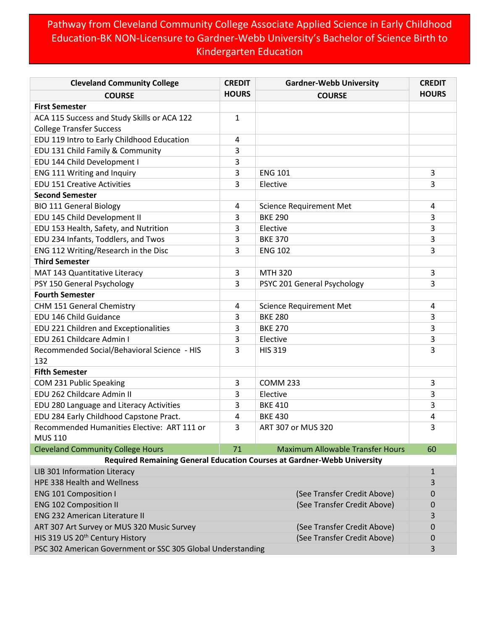## Pathway from Cleveland Community College Associate Applied Science in Early Childhood Education-BK NON-Licensure to Gardner-Webb University's Bachelor of Science Birth to Kindergarten Education

| <b>Cleveland Community College</b>                            | <b>CREDIT</b> | <b>Gardner-Webb University</b>                                          | <b>CREDIT</b> |
|---------------------------------------------------------------|---------------|-------------------------------------------------------------------------|---------------|
| <b>COURSE</b>                                                 | <b>HOURS</b>  | <b>COURSE</b>                                                           | <b>HOURS</b>  |
| <b>First Semester</b>                                         |               |                                                                         |               |
| ACA 115 Success and Study Skills or ACA 122                   | 1             |                                                                         |               |
| <b>College Transfer Success</b>                               |               |                                                                         |               |
| EDU 119 Intro to Early Childhood Education                    | 4             |                                                                         |               |
| EDU 131 Child Family & Community                              | 3             |                                                                         |               |
| EDU 144 Child Development I                                   | 3             |                                                                         |               |
| ENG 111 Writing and Inquiry                                   | 3             | <b>ENG 101</b>                                                          | 3             |
| <b>EDU 151 Creative Activities</b>                            | 3             | Elective                                                                | 3             |
| <b>Second Semester</b>                                        |               |                                                                         |               |
| <b>BIO 111 General Biology</b>                                | 4             | <b>Science Requirement Met</b>                                          | 4             |
| EDU 145 Child Development II                                  | 3             | <b>BKE 290</b>                                                          | 3             |
| EDU 153 Health, Safety, and Nutrition                         | 3             | Elective                                                                | 3             |
| EDU 234 Infants, Toddlers, and Twos                           | 3             | <b>BKE 370</b>                                                          | 3             |
| ENG 112 Writing/Research in the Disc                          | 3             | <b>ENG 102</b>                                                          | 3             |
| <b>Third Semester</b>                                         |               |                                                                         |               |
| MAT 143 Quantitative Literacy                                 | 3             | <b>MTH 320</b>                                                          | 3             |
| PSY 150 General Psychology                                    | 3             | PSYC 201 General Psychology                                             | 3             |
| <b>Fourth Semester</b>                                        |               |                                                                         |               |
| CHM 151 General Chemistry                                     | 4             | <b>Science Requirement Met</b>                                          | 4             |
| EDU 146 Child Guidance                                        | 3             | <b>BKE 280</b>                                                          | 3             |
| EDU 221 Children and Exceptionalities                         | 3             | <b>BKE 270</b>                                                          | 3             |
| EDU 261 Childcare Admin I                                     | 3             | Elective                                                                | 3             |
| Recommended Social/Behavioral Science - HIS                   | 3             | <b>HIS 319</b>                                                          | 3             |
| 132                                                           |               |                                                                         |               |
| <b>Fifth Semester</b>                                         |               |                                                                         |               |
| COM 231 Public Speaking                                       | 3             | <b>COMM 233</b>                                                         | 3             |
| EDU 262 Childcare Admin II                                    | 3             | Elective                                                                | 3             |
| EDU 280 Language and Literacy Activities                      | 3             | <b>BKE 410</b>                                                          | 3             |
| EDU 284 Early Childhood Capstone Pract.                       | 4             | <b>BKE 430</b>                                                          | 4             |
| Recommended Humanities Elective: ART 111 or<br><b>MUS 110</b> | 3             | ART 307 or MUS 320                                                      | 3             |
| <b>Cleveland Community College Hours</b>                      | 71            | <b>Maximum Allowable Transfer Hours</b>                                 | 60            |
|                                                               |               | Required Remaining General Education Courses at Gardner-Webb University |               |
| LIB 301 Information Literacy                                  |               |                                                                         | $\mathbf{1}$  |
| HPE 338 Health and Wellness                                   |               |                                                                         | 3             |
| <b>ENG 101 Composition I</b>                                  |               | (See Transfer Credit Above)                                             | 0             |
| <b>ENG 102 Composition II</b>                                 |               | (See Transfer Credit Above)                                             | 0             |
| <b>ENG 232 American Literature II</b>                         |               |                                                                         | 3             |
| ART 307 Art Survey or MUS 320 Music Survey                    |               | (See Transfer Credit Above)                                             | 0             |
| HIS 319 US 20 <sup>th</sup> Century History                   |               | (See Transfer Credit Above)                                             | 0             |
| PSC 302 American Government or SSC 305 Global Understanding   |               |                                                                         | 3             |